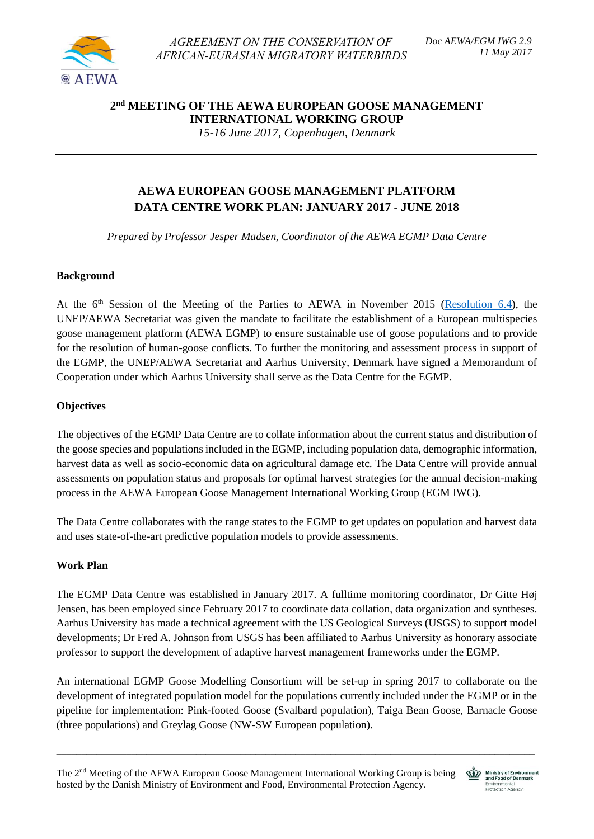

*AGREEMENT ON THE CONSERVATION OF AFRICAN-EURASIAN MIGRATORY WATERBIRDS* 

# **2 nd MEETING OF THE AEWA EUROPEAN GOOSE MANAGEMENT INTERNATIONAL WORKING GROUP**

*15-16 June 2017, Copenhagen, Denmark*

## **AEWA EUROPEAN GOOSE MANAGEMENT PLATFORM DATA CENTRE WORK PLAN: JANUARY 2017 - JUNE 2018**

*Prepared by Professor Jesper Madsen, Coordinator of the AEWA EGMP Data Centre*

### **Background**

At the  $6<sup>th</sup>$  Session of the Meeting of the Parties to AEWA in November 2015 [\(Resolution 6.4\)](http://www.unep-aewa.org/en/document/conservation-and-sustainable-use-migratory-waterbirds-2), the UNEP/AEWA Secretariat was given the mandate to facilitate the establishment of a European multispecies goose management platform (AEWA EGMP) to ensure sustainable use of goose populations and to provide for the resolution of human-goose conflicts. To further the monitoring and assessment process in support of the EGMP, the UNEP/AEWA Secretariat and Aarhus University, Denmark have signed a Memorandum of Cooperation under which Aarhus University shall serve as the Data Centre for the EGMP.

### **Objectives**

The objectives of the EGMP Data Centre are to collate information about the current status and distribution of the goose species and populations included in the EGMP, including population data, demographic information, harvest data as well as socio-economic data on agricultural damage etc. The Data Centre will provide annual assessments on population status and proposals for optimal harvest strategies for the annual decision-making process in the AEWA European Goose Management International Working Group (EGM IWG).

The Data Centre collaborates with the range states to the EGMP to get updates on population and harvest data and uses state-of-the-art predictive population models to provide assessments.

### **Work Plan**

The EGMP Data Centre was established in January 2017. A fulltime monitoring coordinator, Dr Gitte Høj Jensen, has been employed since February 2017 to coordinate data collation, data organization and syntheses. Aarhus University has made a technical agreement with the US Geological Surveys (USGS) to support model developments; Dr Fred A. Johnson from USGS has been affiliated to Aarhus University as honorary associate professor to support the development of adaptive harvest management frameworks under the EGMP.

An international EGMP Goose Modelling Consortium will be set-up in spring 2017 to collaborate on the development of integrated population model for the populations currently included under the EGMP or in the pipeline for implementation: Pink-footed Goose (Svalbard population), Taiga Bean Goose, Barnacle Goose (three populations) and Greylag Goose (NW-SW European population).

\_\_\_\_\_\_\_\_\_\_\_\_\_\_\_\_\_\_\_\_\_\_\_\_\_\_\_\_\_\_\_\_\_\_\_\_\_\_\_\_\_\_\_\_\_\_\_\_\_\_\_\_\_\_\_\_\_\_\_\_\_\_\_\_\_\_\_\_\_\_\_\_\_\_\_\_\_\_\_\_\_\_\_\_\_\_\_\_\_\_\_\_\_\_\_\_

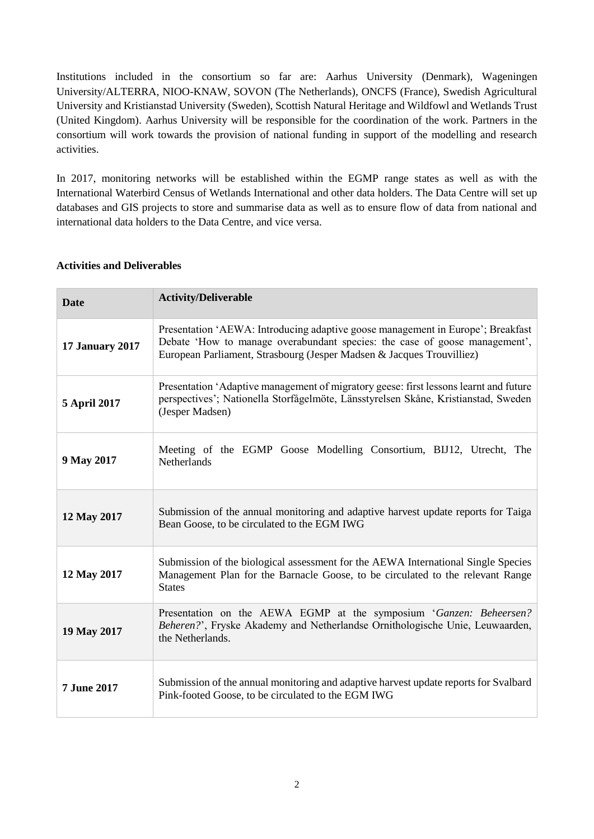Institutions included in the consortium so far are: Aarhus University (Denmark), Wageningen University/ALTERRA, NIOO-KNAW, SOVON (The Netherlands), ONCFS (France), Swedish Agricultural University and Kristianstad University (Sweden), Scottish Natural Heritage and Wildfowl and Wetlands Trust (United Kingdom). Aarhus University will be responsible for the coordination of the work. Partners in the consortium will work towards the provision of national funding in support of the modelling and research activities.

In 2017, monitoring networks will be established within the EGMP range states as well as with the International Waterbird Census of Wetlands International and other data holders. The Data Centre will set up databases and GIS projects to store and summarise data as well as to ensure flow of data from national and international data holders to the Data Centre, and vice versa.

### **Activities and Deliverables**

| <b>Date</b>            | <b>Activity/Deliverable</b>                                                                                                                                                                                                            |
|------------------------|----------------------------------------------------------------------------------------------------------------------------------------------------------------------------------------------------------------------------------------|
| <b>17 January 2017</b> | Presentation 'AEWA: Introducing adaptive goose management in Europe'; Breakfast<br>Debate 'How to manage overabundant species: the case of goose management',<br>European Parliament, Strasbourg (Jesper Madsen & Jacques Trouvilliez) |
| 5 April 2017           | Presentation 'Adaptive management of migratory geese: first lessons learnt and future<br>perspectives'; Nationella Storfågelmöte, Länsstyrelsen Skåne, Kristianstad, Sweden<br>(Jesper Madsen)                                         |
| 9 May 2017             | Meeting of the EGMP Goose Modelling Consortium, BIJ12, Utrecht, The<br>Netherlands                                                                                                                                                     |
| 12 May 2017            | Submission of the annual monitoring and adaptive harvest update reports for Taiga<br>Bean Goose, to be circulated to the EGM IWG                                                                                                       |
| 12 May 2017            | Submission of the biological assessment for the AEWA International Single Species<br>Management Plan for the Barnacle Goose, to be circulated to the relevant Range<br><b>States</b>                                                   |
| 19 May 2017            | Presentation on the AEWA EGMP at the symposium 'Ganzen: Beheersen?<br>Beheren?', Fryske Akademy and Netherlandse Ornithologische Unie, Leuwaarden,<br>the Netherlands.                                                                 |
| <b>7 June 2017</b>     | Submission of the annual monitoring and adaptive harvest update reports for Svalbard<br>Pink-footed Goose, to be circulated to the EGM IWG                                                                                             |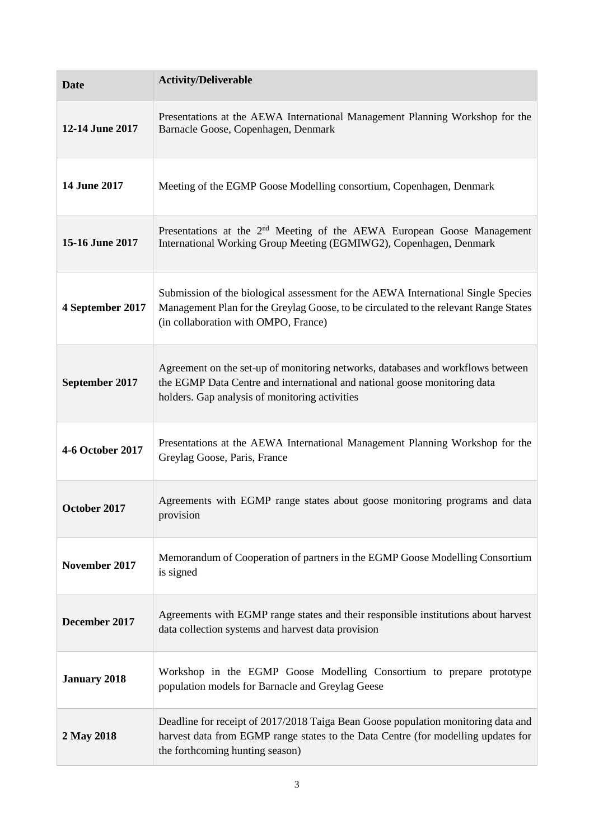| <b>Date</b>         | <b>Activity/Deliverable</b>                                                                                                                                                                                       |
|---------------------|-------------------------------------------------------------------------------------------------------------------------------------------------------------------------------------------------------------------|
| 12-14 June 2017     | Presentations at the AEWA International Management Planning Workshop for the<br>Barnacle Goose, Copenhagen, Denmark                                                                                               |
| 14 June 2017        | Meeting of the EGMP Goose Modelling consortium, Copenhagen, Denmark                                                                                                                                               |
| 15-16 June 2017     | Presentations at the $2nd$ Meeting of the AEWA European Goose Management<br>International Working Group Meeting (EGMIWG2), Copenhagen, Denmark                                                                    |
| 4 September 2017    | Submission of the biological assessment for the AEWA International Single Species<br>Management Plan for the Greylag Goose, to be circulated to the relevant Range States<br>(in collaboration with OMPO, France) |
| September 2017      | Agreement on the set-up of monitoring networks, databases and workflows between<br>the EGMP Data Centre and international and national goose monitoring data<br>holders. Gap analysis of monitoring activities    |
| 4-6 October 2017    | Presentations at the AEWA International Management Planning Workshop for the<br>Greylag Goose, Paris, France                                                                                                      |
| October 2017        | Agreements with EGMP range states about goose monitoring programs and data<br>provision                                                                                                                           |
| November 2017       | Memorandum of Cooperation of partners in the EGMP Goose Modelling Consortium<br>is signed                                                                                                                         |
| December 2017       | Agreements with EGMP range states and their responsible institutions about harvest<br>data collection systems and harvest data provision                                                                          |
| <b>January 2018</b> | Workshop in the EGMP Goose Modelling Consortium to prepare prototype<br>population models for Barnacle and Greylag Geese                                                                                          |
| 2 May 2018          | Deadline for receipt of 2017/2018 Taiga Bean Goose population monitoring data and<br>harvest data from EGMP range states to the Data Centre (for modelling updates for<br>the forthcoming hunting season)         |